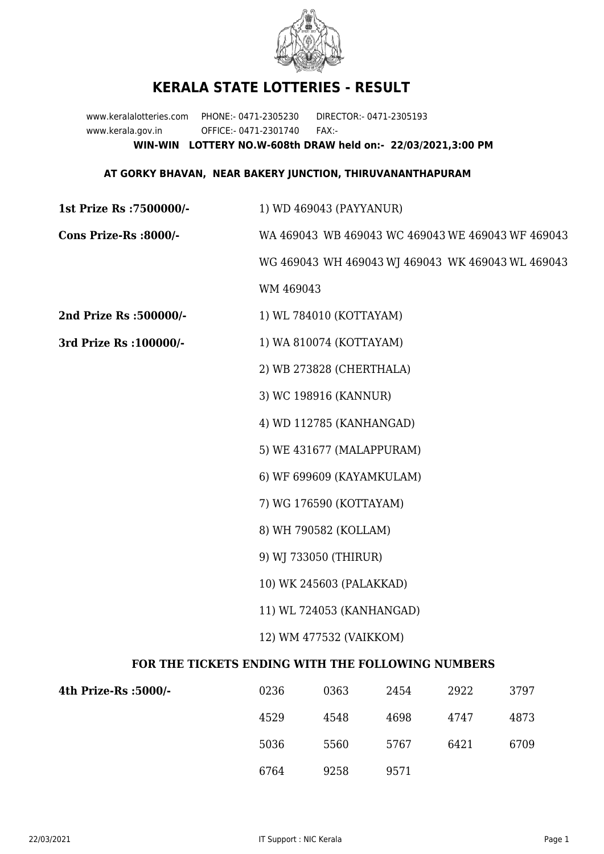

## **KERALA STATE LOTTERIES - RESULT**

www.keralalotteries.com PHONE:- 0471-2305230 DIRECTOR:- 0471-2305193 www.kerala.gov.in OFFICE:- 0471-2301740 FAX:- **WIN-WIN LOTTERY NO.W-608th DRAW held on:- 22/03/2021,3:00 PM**

## **AT GORKY BHAVAN, NEAR BAKERY JUNCTION, THIRUVANANTHAPURAM**

| 1st Prize Rs : 7500000/- | 1) WD 469043 (PAYYANUR)                           |  |  |
|--------------------------|---------------------------------------------------|--|--|
| Cons Prize-Rs :8000/-    | WA 469043 WB 469043 WC 469043 WE 469043 WF 469043 |  |  |
|                          | WG 469043 WH 469043 WJ 469043 WK 469043 WL 469043 |  |  |
|                          | WM 469043                                         |  |  |
| 2nd Prize Rs :500000/-   | 1) WL 784010 (KOTTAYAM)                           |  |  |
| 3rd Prize Rs : 100000/-  | 1) WA 810074 (KOTTAYAM)                           |  |  |
|                          | 2) WB 273828 (CHERTHALA)                          |  |  |
|                          | 3) WC 198916 (KANNUR)                             |  |  |
|                          | 4) WD 112785 (KANHANGAD)                          |  |  |
|                          | 5) WE 431677 (MALAPPURAM)                         |  |  |
|                          | 6) WF 699609 (KAYAMKULAM)                         |  |  |
|                          | 7) WG 176590 (KOTTAYAM)                           |  |  |
|                          | 8) WH 790582 (KOLLAM)                             |  |  |
|                          | 9) WJ 733050 (THIRUR)                             |  |  |
|                          | 10) WK 245603 (PALAKKAD)                          |  |  |
|                          | 11) WL 724053 (KANHANGAD)                         |  |  |
|                          | 12) WM 477532 (VAIKKOM)                           |  |  |
|                          | AUDRA DURBUA WERT BUR DAII AWBLA WEBERDA          |  |  |

## **FOR THE TICKETS ENDING WITH THE FOLLOWING NUMBERS**

| 4th Prize-Rs :5000/- | 0236 | 0363 | 2454 | 2922 | 3797 |
|----------------------|------|------|------|------|------|
|                      | 4529 | 4548 | 4698 | 4747 | 4873 |
|                      | 5036 | 5560 | 5767 | 6421 | 6709 |
|                      | 6764 | 9258 | 9571 |      |      |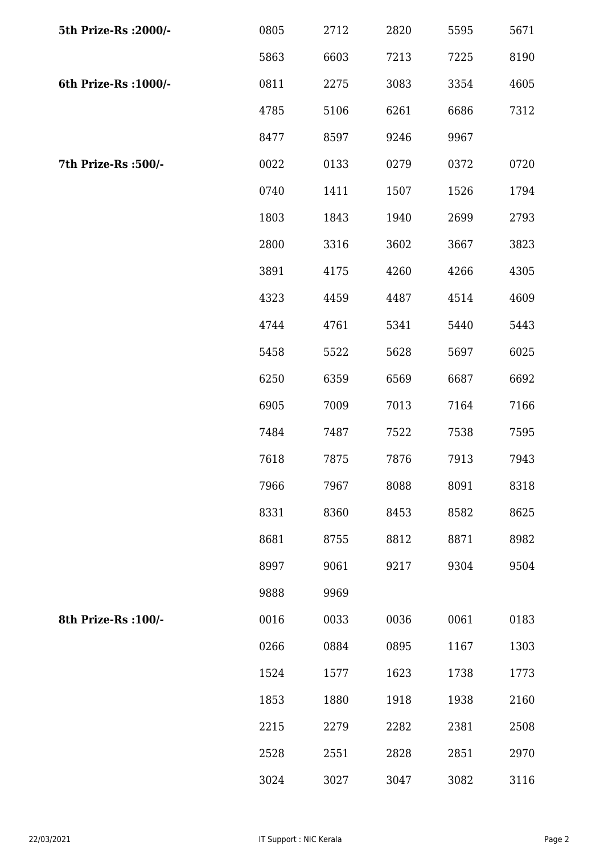| 5th Prize-Rs : 2000/- | 0805 | 2712 | 2820 | 5595 | 5671 |
|-----------------------|------|------|------|------|------|
|                       | 5863 | 6603 | 7213 | 7225 | 8190 |
| 6th Prize-Rs : 1000/- | 0811 | 2275 | 3083 | 3354 | 4605 |
|                       | 4785 | 5106 | 6261 | 6686 | 7312 |
|                       | 8477 | 8597 | 9246 | 9967 |      |
| 7th Prize-Rs :500/-   | 0022 | 0133 | 0279 | 0372 | 0720 |
|                       | 0740 | 1411 | 1507 | 1526 | 1794 |
|                       | 1803 | 1843 | 1940 | 2699 | 2793 |
|                       | 2800 | 3316 | 3602 | 3667 | 3823 |
|                       | 3891 | 4175 | 4260 | 4266 | 4305 |
|                       | 4323 | 4459 | 4487 | 4514 | 4609 |
|                       | 4744 | 4761 | 5341 | 5440 | 5443 |
|                       | 5458 | 5522 | 5628 | 5697 | 6025 |
|                       | 6250 | 6359 | 6569 | 6687 | 6692 |
|                       | 6905 | 7009 | 7013 | 7164 | 7166 |
|                       | 7484 | 7487 | 7522 | 7538 | 7595 |
|                       | 7618 | 7875 | 7876 | 7913 | 7943 |
|                       | 7966 | 7967 | 8088 | 8091 | 8318 |
|                       | 8331 | 8360 | 8453 | 8582 | 8625 |
|                       | 8681 | 8755 | 8812 | 8871 | 8982 |
|                       | 8997 | 9061 | 9217 | 9304 | 9504 |
|                       | 9888 | 9969 |      |      |      |
| 8th Prize-Rs : 100/-  | 0016 | 0033 | 0036 | 0061 | 0183 |
|                       | 0266 | 0884 | 0895 | 1167 | 1303 |
|                       | 1524 | 1577 | 1623 | 1738 | 1773 |
|                       | 1853 | 1880 | 1918 | 1938 | 2160 |
|                       | 2215 | 2279 | 2282 | 2381 | 2508 |
|                       | 2528 | 2551 | 2828 | 2851 | 2970 |
|                       | 3024 | 3027 | 3047 | 3082 | 3116 |